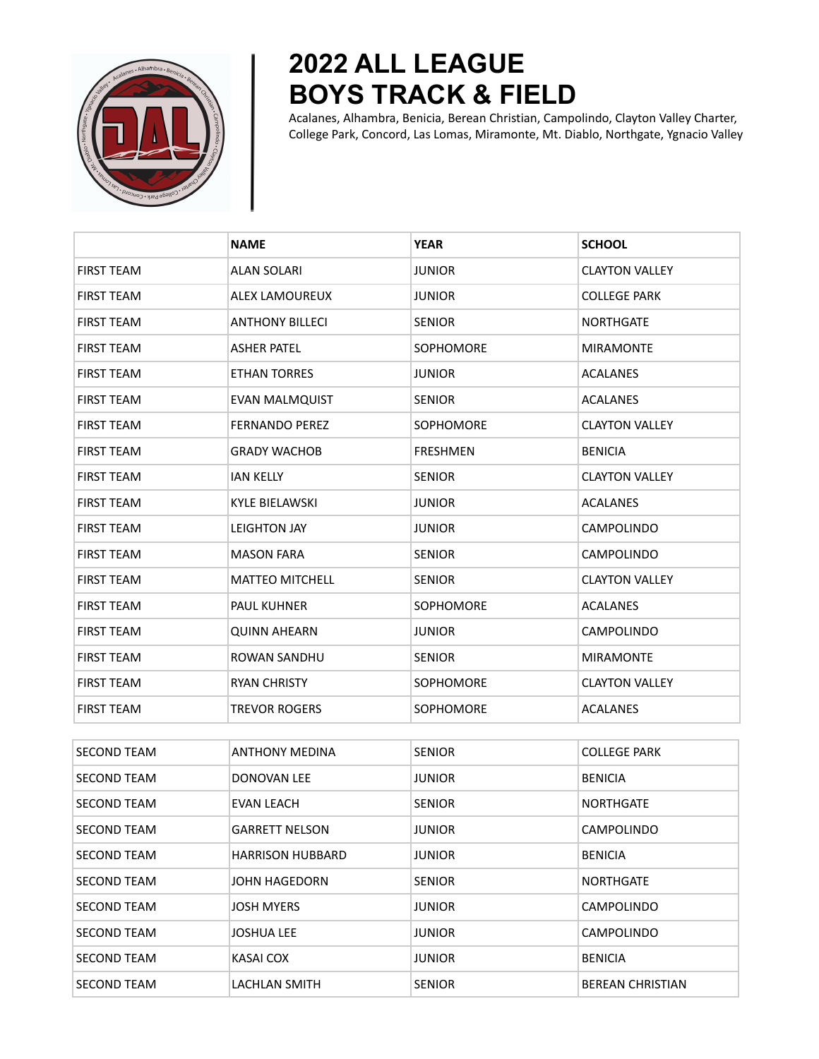

## **2022 ALL LEAGUE BOYS TRACK & FIELD**

Acalanes, Alhambra, Benicia, Berean Christian, Campolindo, Clayton Valley Charter, College Park, Concord, Las Lomas, Miramonte, Mt. Diablo, Northgate, Ygnacio Valley

|                    | <b>NAME</b>            | <b>YEAR</b>      | <b>SCHOOL</b>         |
|--------------------|------------------------|------------------|-----------------------|
| <b>FIRST TEAM</b>  | <b>ALAN SOLARI</b>     | <b>JUNIOR</b>    | <b>CLAYTON VALLEY</b> |
| <b>FIRST TEAM</b>  | ALEX LAMOUREUX         | <b>JUNIOR</b>    | <b>COLLEGE PARK</b>   |
| <b>FIRST TEAM</b>  | <b>ANTHONY BILLECI</b> | <b>SENIOR</b>    | <b>NORTHGATE</b>      |
| <b>FIRST TEAM</b>  | <b>ASHER PATEL</b>     | <b>SOPHOMORE</b> | <b>MIRAMONTE</b>      |
| <b>FIRST TEAM</b>  | <b>ETHAN TORRES</b>    | <b>JUNIOR</b>    | <b>ACALANES</b>       |
| <b>FIRST TEAM</b>  | <b>EVAN MALMQUIST</b>  | <b>SENIOR</b>    | <b>ACALANES</b>       |
| <b>FIRST TEAM</b>  | <b>FERNANDO PEREZ</b>  | <b>SOPHOMORE</b> | <b>CLAYTON VALLEY</b> |
| <b>FIRST TEAM</b>  | <b>GRADY WACHOB</b>    | <b>FRESHMEN</b>  | <b>BENICIA</b>        |
| <b>FIRST TEAM</b>  | <b>IAN KELLY</b>       | <b>SENIOR</b>    | <b>CLAYTON VALLEY</b> |
| <b>FIRST TEAM</b>  | <b>KYLE BIELAWSKI</b>  | <b>JUNIOR</b>    | <b>ACALANES</b>       |
| <b>FIRST TEAM</b>  | <b>LEIGHTON JAY</b>    | <b>JUNIOR</b>    | <b>CAMPOLINDO</b>     |
| <b>FIRST TEAM</b>  | <b>MASON FARA</b>      | <b>SENIOR</b>    | CAMPOLINDO            |
| <b>FIRST TEAM</b>  | <b>MATTEO MITCHELL</b> | <b>SENIOR</b>    | <b>CLAYTON VALLEY</b> |
| <b>FIRST TEAM</b>  | <b>PAUL KUHNER</b>     | <b>SOPHOMORE</b> | <b>ACALANES</b>       |
| <b>FIRST TEAM</b>  | <b>QUINN AHEARN</b>    | <b>JUNIOR</b>    | <b>CAMPOLINDO</b>     |
| <b>FIRST TEAM</b>  | ROWAN SANDHU           | <b>SENIOR</b>    | <b>MIRAMONTE</b>      |
| <b>FIRST TEAM</b>  | <b>RYAN CHRISTY</b>    | SOPHOMORE        | <b>CLAYTON VALLEY</b> |
| <b>FIRST TEAM</b>  | <b>TREVOR ROGERS</b>   | <b>SOPHOMORE</b> | <b>ACALANES</b>       |
|                    |                        |                  |                       |
| <b>SECOND TEAM</b> | <b>ANTHONY MEDINA</b>  | <b>SENIOR</b>    | <b>COLLEGE PARK</b>   |
| <b>SECOND TEAM</b> | <b>DONOVAN LEE</b>     | <b>JUNIOR</b>    | <b>BENICIA</b>        |

| <b>SECOND TEAM</b> | DONOVAN LEE             | <b>JUNIOR</b> | <b>BENICIA</b>          |
|--------------------|-------------------------|---------------|-------------------------|
| <b>SECOND TEAM</b> | EVAN LEACH              | <b>SENIOR</b> | <b>NORTHGATE</b>        |
| <b>SECOND TEAM</b> | <b>GARRETT NELSON</b>   | <b>JUNIOR</b> | <b>CAMPOLINDO</b>       |
| <b>SECOND TEAM</b> | <b>HARRISON HUBBARD</b> | <b>JUNIOR</b> | <b>BENICIA</b>          |
| <b>SECOND TEAM</b> | JOHN HAGEDORN           | <b>SENIOR</b> | <b>NORTHGATE</b>        |
| <b>SECOND TEAM</b> | <b>JOSH MYERS</b>       | <b>JUNIOR</b> | <b>CAMPOLINDO</b>       |
| <b>SECOND TEAM</b> | <b>JOSHUA LEE</b>       | <b>JUNIOR</b> | <b>CAMPOLINDO</b>       |
| <b>SECOND TEAM</b> | KASAI COX               | <b>JUNIOR</b> | <b>BENICIA</b>          |
| <b>SECOND TEAM</b> | LACHLAN SMITH           | <b>SENIOR</b> | <b>BEREAN CHRISTIAN</b> |